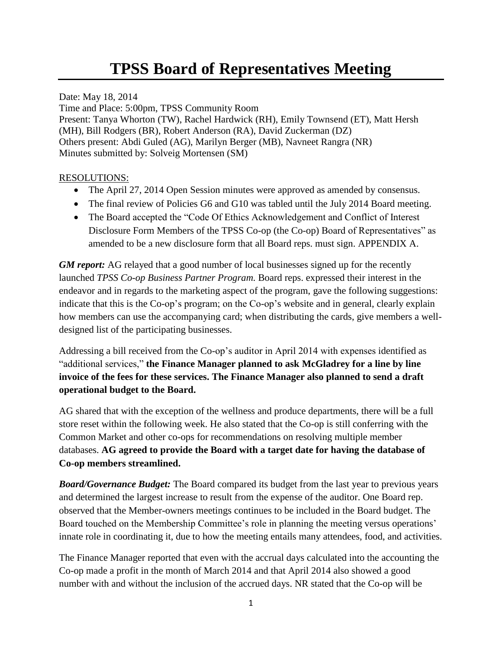# **TPSS Board of Representatives Meeting**

Date: May 18, 2014 Time and Place: 5:00pm, TPSS Community Room Present: Tanya Whorton (TW), Rachel Hardwick (RH), Emily Townsend (ET), Matt Hersh (MH), Bill Rodgers (BR), Robert Anderson (RA), David Zuckerman (DZ) Others present: Abdi Guled (AG), Marilyn Berger (MB), Navneet Rangra (NR) Minutes submitted by: Solveig Mortensen (SM)

#### RESOLUTIONS:

- The April 27, 2014 Open Session minutes were approved as amended by consensus.
- The final review of Policies G6 and G10 was tabled until the July 2014 Board meeting.
- The Board accepted the "Code Of Ethics Acknowledgement and Conflict of Interest Disclosure Form Members of the TPSS Co-op (the Co-op) Board of Representatives" as amended to be a new disclosure form that all Board reps. must sign. APPENDIX A.

*GM report:* AG relayed that a good number of local businesses signed up for the recently launched *TPSS Co-op Business Partner Program.* Board reps. expressed their interest in the endeavor and in regards to the marketing aspect of the program, gave the following suggestions: indicate that this is the Co-op's program; on the Co-op's website and in general, clearly explain how members can use the accompanying card; when distributing the cards, give members a welldesigned list of the participating businesses.

Addressing a bill received from the Co-op's auditor in April 2014 with expenses identified as "additional services," **the Finance Manager planned to ask McGladrey for a line by line invoice of the fees for these services. The Finance Manager also planned to send a draft operational budget to the Board.**

AG shared that with the exception of the wellness and produce departments, there will be a full store reset within the following week. He also stated that the Co-op is still conferring with the Common Market and other co-ops for recommendations on resolving multiple member databases. **AG agreed to provide the Board with a target date for having the database of Co-op members streamlined.**

*Board/Governance Budget:* The Board compared its budget from the last year to previous years and determined the largest increase to result from the expense of the auditor. One Board rep. observed that the Member-owners meetings continues to be included in the Board budget. The Board touched on the Membership Committee's role in planning the meeting versus operations' innate role in coordinating it, due to how the meeting entails many attendees, food, and activities.

The Finance Manager reported that even with the accrual days calculated into the accounting the Co-op made a profit in the month of March 2014 and that April 2014 also showed a good number with and without the inclusion of the accrued days. NR stated that the Co-op will be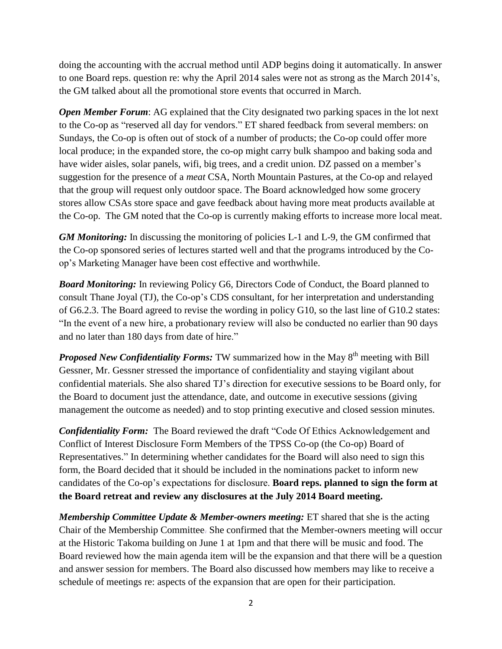doing the accounting with the accrual method until ADP begins doing it automatically. In answer to one Board reps. question re: why the April 2014 sales were not as strong as the March 2014's, the GM talked about all the promotional store events that occurred in March.

*Open Member Forum:* AG explained that the City designated two parking spaces in the lot next to the Co-op as "reserved all day for vendors." ET shared feedback from several members: on Sundays, the Co-op is often out of stock of a number of products; the Co-op could offer more local produce; in the expanded store, the co-op might carry bulk shampoo and baking soda and have wider aisles, solar panels, wifi, big trees, and a credit union. DZ passed on a member's suggestion for the presence of a *meat* CSA, North Mountain Pastures, at the Co-op and relayed that the group will request only outdoor space. The Board acknowledged how some grocery stores allow CSAs store space and gave feedback about having more meat products available at the Co-op. The GM noted that the Co-op is currently making efforts to increase more local meat.

*GM Monitoring:* In discussing the monitoring of policies L-1 and L-9, the GM confirmed that the Co-op sponsored series of lectures started well and that the programs introduced by the Coop's Marketing Manager have been cost effective and worthwhile.

*Board Monitoring:* In reviewing Policy G6, Directors Code of Conduct, the Board planned to consult Thane Joyal (TJ), the Co-op's CDS consultant, for her interpretation and understanding of G6.2.3. The Board agreed to revise the wording in policy G10, so the last line of G10.2 states: "In the event of a new hire, a probationary review will also be conducted no earlier than 90 days and no later than 180 days from date of hire."

**Proposed New Confidentiality Forms:** TW summarized how in the May 8<sup>th</sup> meeting with Bill Gessner, Mr. Gessner stressed the importance of confidentiality and staying vigilant about confidential materials. She also shared TJ's direction for executive sessions to be Board only, for the Board to document just the attendance, date, and outcome in executive sessions (giving management the outcome as needed) and to stop printing executive and closed session minutes.

*Confidentiality Form:* The Board reviewed the draft "Code Of Ethics Acknowledgement and Conflict of Interest Disclosure Form Members of the TPSS Co-op (the Co-op) Board of Representatives." In determining whether candidates for the Board will also need to sign this form, the Board decided that it should be included in the nominations packet to inform new candidates of the Co-op's expectations for disclosure. **Board reps. planned to sign the form at the Board retreat and review any disclosures at the July 2014 Board meeting.** 

*Membership Committee Update & Member-owners meeting:* ET shared that she is the acting Chair of the Membership Committee. She confirmed that the Member-owners meeting will occur at the Historic Takoma building on June 1 at 1pm and that there will be music and food. The Board reviewed how the main agenda item will be the expansion and that there will be a question and answer session for members. The Board also discussed how members may like to receive a schedule of meetings re: aspects of the expansion that are open for their participation.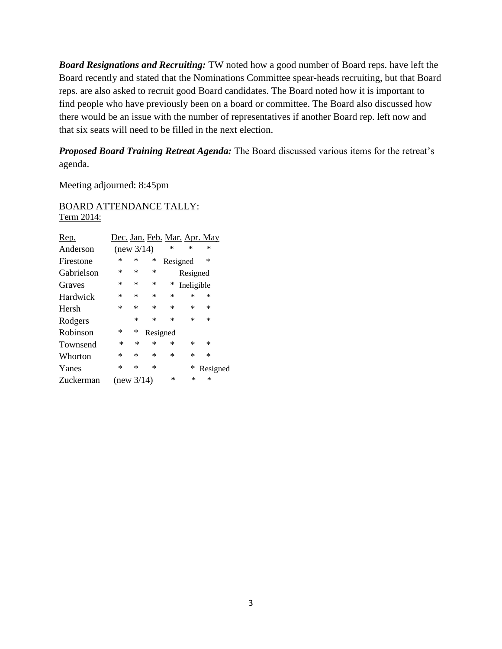*Board Resignations and Recruiting:* TW noted how a good number of Board reps. have left the Board recently and stated that the Nominations Committee spear-heads recruiting, but that Board reps. are also asked to recruit good Board candidates. The Board noted how it is important to find people who have previously been on a board or committee. The Board also discussed how there would be an issue with the number of representatives if another Board rep. left now and that six seats will need to be filled in the next election.

*Proposed Board Training Retreat Agenda:* The Board discussed various items for the retreat's agenda.

Meeting adjourned: 8:45pm

BOARD ATTENDANCE TALLY: Term 2014:

| <u>Rep.</u> | Dec. Jan. Feb. Mar. Apr. May |        |          |          |            |          |
|-------------|------------------------------|--------|----------|----------|------------|----------|
| Anderson    | (new 3/14)                   |        |          | *        | $\ast$     | ∗        |
| Firestone   | ∗                            | ∗      | ∗        | Resigned |            | $\ast$   |
| Gabrielson  | ∗                            | ∗      | $\ast$   |          | Resigned   |          |
| Graves      | ∗                            | ∗      | $\ast$   | ∗        | Ineligible |          |
| Hardwick    | ∗                            | *      | $\ast$   | ∗        | ∗          | ∗        |
| Hersh       | $\ast$                       | $\ast$ | $\ast$   | ∗        | *          | ∗        |
| Rodgers     |                              | $\ast$ | $\ast$   | ∗        | *          | *        |
| Robinson    | ∗                            | ∗      | Resigned |          |            |          |
| Townsend    | $\ast$                       | ∗      | $\ast$   | ∗        | *          | ∗        |
| Whorton     | ∗                            | ∗      | $\ast$   | ∗        | ∗          | *        |
| Yanes       | ∗                            | ∗      | $\ast$   |          | ∗          | Resigned |
| Zuckerman   | (new 3/14)                   |        |          | ∗        | ∗          | *        |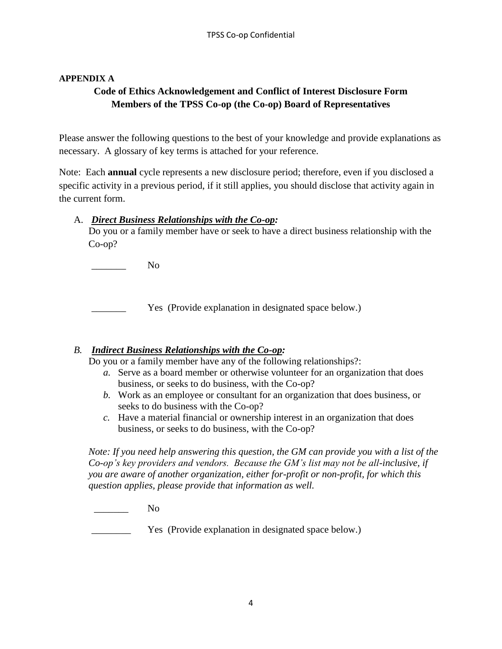#### **APPENDIX A**

# **Code of Ethics Acknowledgement and Conflict of Interest Disclosure Form Members of the TPSS Co-op (the Co-op) Board of Representatives**

Please answer the following questions to the best of your knowledge and provide explanations as necessary. A glossary of key terms is attached for your reference.

Note: Each **annual** cycle represents a new disclosure period; therefore, even if you disclosed a specific activity in a previous period, if it still applies, you should disclose that activity again in the current form.

#### A. *Direct Business Relationships with the Co-op:*

Do you or a family member have or seek to have a direct business relationship with the Co-op?

No.

Yes (Provide explanation in designated space below.)

## *B. Indirect Business Relationships with the Co-op:*

Do you or a family member have any of the following relationships?:

- *a.* Serve as a board member or otherwise volunteer for an organization that does business, or seeks to do business, with the Co-op?
- *b.* Work as an employee or consultant for an organization that does business, or seeks to do business with the Co-op?
- *c.* Have a material financial or ownership interest in an organization that does business, or seeks to do business, with the Co-op?

*Note: If you need help answering this question, the GM can provide you with a list of the Co-op's key providers and vendors. Because the GM's list may not be all-inclusive, if you are aware of another organization, either for-profit or non-profit, for which this question applies, please provide that information as well.*

 $N<sub>0</sub>$ 

Yes (Provide explanation in designated space below.)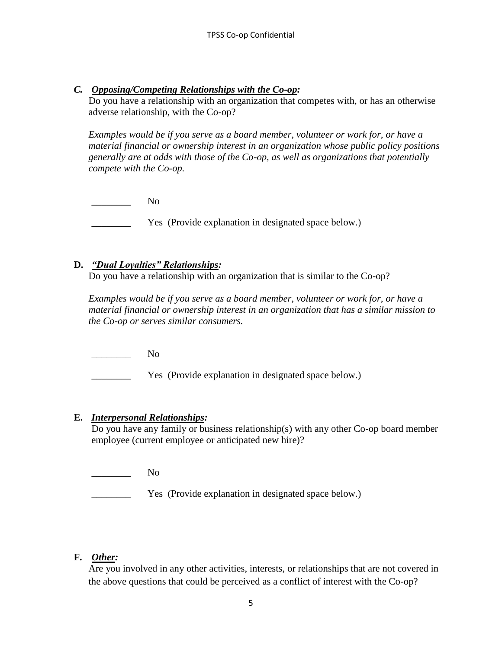*C. Opposing/Competing Relationships with the Co-op:*

Do you have a relationship with an organization that competes with, or has an otherwise adverse relationship, with the Co-op?

*Examples would be if you serve as a board member, volunteer or work for, or have a material financial or ownership interest in an organization whose public policy positions generally are at odds with those of the Co-op, as well as organizations that potentially compete with the Co-op.* 

 $\overline{\qquad \qquad }$  No

Yes (Provide explanation in designated space below.)

#### **D.** *"Dual Loyalties" Relationships:*

Do you have a relationship with an organization that is similar to the Co-op?

*Examples would be if you serve as a board member, volunteer or work for, or have a material financial or ownership interest in an organization that has a similar mission to the Co-op or serves similar consumers.*

 $\overline{\qquad \qquad}$  No

\_\_\_\_\_\_\_\_ Yes (Provide explanation in designated space below.)

#### **E.** *Interpersonal Relationships:*

Do you have any family or business relationship(s) with any other Co-op board member employee (current employee or anticipated new hire)?

\_\_\_\_\_\_\_\_ No

**EXECUTE:** Yes (Provide explanation in designated space below.)

## **F.** *Other:*

Are you involved in any other activities, interests, or relationships that are not covered in the above questions that could be perceived as a conflict of interest with the Co-op?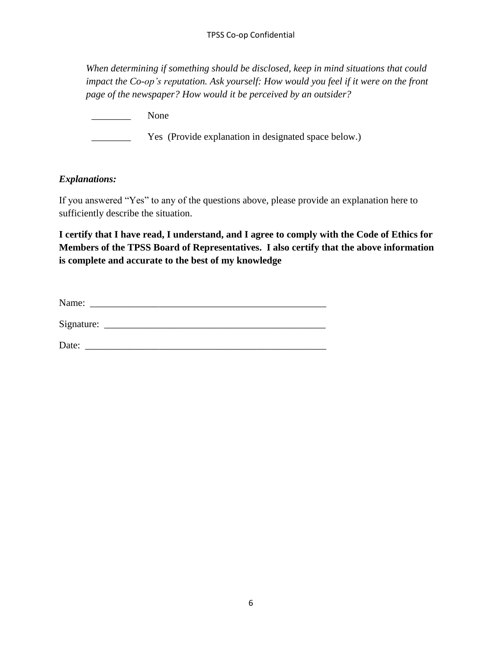*When determining if something should be disclosed, keep in mind situations that could impact the Co-op's reputation. Ask yourself: How would you feel if it were on the front page of the newspaper? How would it be perceived by an outsider?*

\_\_\_\_\_\_\_\_ None **EXECUTE:** Yes (Provide explanation in designated space below.)

#### *Explanations:*

If you answered "Yes" to any of the questions above, please provide an explanation here to sufficiently describe the situation.

**I certify that I have read, I understand, and I agree to comply with the Code of Ethics for Members of the TPSS Board of Representatives. I also certify that the above information is complete and accurate to the best of my knowledge**

Name: \_\_\_\_\_\_\_\_\_\_\_\_\_\_\_\_\_\_\_\_\_\_\_\_\_\_\_\_\_\_\_\_\_\_\_\_\_\_\_\_\_\_\_\_\_\_\_\_

Signature: \_\_\_\_\_\_\_\_\_\_\_\_\_\_\_\_\_\_\_\_\_\_\_\_\_\_\_\_\_\_\_\_\_\_\_\_\_\_\_\_\_\_\_\_\_

Date: